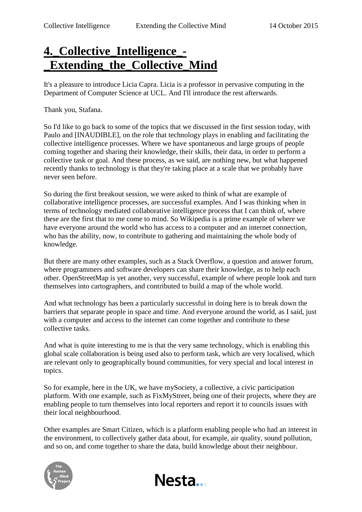## **4.\_Collective\_Intelligence\_- \_Extending\_the\_Collective\_Mind**

It's a pleasure to introduce Licia Capra. Licia is a professor in pervasive computing in the Department of Computer Science at UCL. And I'll introduce the rest afterwards.

Thank you, Stafana.

So I'd like to go back to some of the topics that we discussed in the first session today, with Paulo and [INAUDIBLE], on the role that technology plays in enabling and facilitating the collective intelligence processes. Where we have spontaneous and large groups of people coming together and sharing their knowledge, their skills, their data, in order to perform a collective task or goal. And these process, as we said, are nothing new, but what happened recently thanks to technology is that they're taking place at a scale that we probably have never seen before.

So during the first breakout session, we were asked to think of what are example of collaborative intelligence processes, are successful examples. And I was thinking when in terms of technology mediated collaborative intelligence process that I can think of, where these are the first that to me come to mind. So Wikipedia is a prime example of where we have everyone around the world who has access to a computer and an internet connection, who has the ability, now, to contribute to gathering and maintaining the whole body of knowledge.

But there are many other examples, such as a Stack Overflow, a question and answer forum, where programmers and software developers can share their knowledge, as to help each other. OpenStreetMap is yet another, very successful, example of where people look and turn themselves into cartographers, and contributed to build a map of the whole world.

And what technology has been a particularly successful in doing here is to break down the barriers that separate people in space and time. And everyone around the world, as I said, just with a computer and access to the internet can come together and contribute to these collective tasks.

And what is quite interesting to me is that the very same technology, which is enabling this global scale collaboration is being used also to perform task, which are very localised, which are relevant only to geographically bound communities, for very special and local interest in topics.

So for example, here in the UK, we have mySociety, a collective, a civic participation platform. With one example, such as FixMyStreet, being one of their projects, where they are enabling people to turn themselves into local reporters and report it to councils issues with their local neighbourhood.

Other examples are Smart Citizen, which is a platform enabling people who had an interest in the environment, to collectively gather data about, for example, air quality, sound pollution, and so on, and come together to share the data, build knowledge about their neighbour.



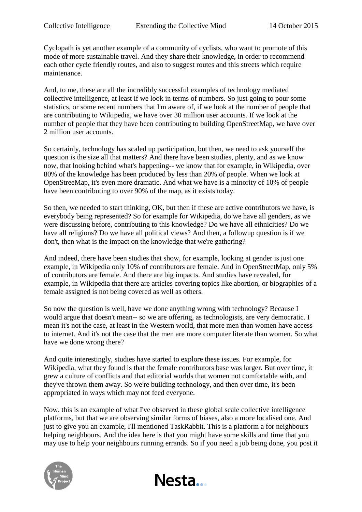Cyclopath is yet another example of a community of cyclists, who want to promote of this mode of more sustainable travel. And they share their knowledge, in order to recommend each other cycle friendly routes, and also to suggest routes and this streets which require maintenance.

And, to me, these are all the incredibly successful examples of technology mediated collective intelligence, at least if we look in terms of numbers. So just going to pour some statistics, or some recent numbers that I'm aware of, if we look at the number of people that are contributing to Wikipedia, we have over 30 million user accounts. If we look at the number of people that they have been contributing to building OpenStreetMap, we have over 2 million user accounts.

So certainly, technology has scaled up participation, but then, we need to ask yourself the question is the size all that matters? And there have been studies, plenty, and as we know now, that looking behind what's happening-- we know that for example, in Wikipedia, over 80% of the knowledge has been produced by less than 20% of people. When we look at OpenStreeMap, it's even more dramatic. And what we have is a minority of 10% of people have been contributing to over 90% of the map, as it exists today.

So then, we needed to start thinking, OK, but then if these are active contributors we have, is everybody being represented? So for example for Wikipedia, do we have all genders, as we were discussing before, contributing to this knowledge? Do we have all ethnicities? Do we have all religions? Do we have all political views? And then, a followup question is if we don't, then what is the impact on the knowledge that we're gathering?

And indeed, there have been studies that show, for example, looking at gender is just one example, in Wikipedia only 10% of contributors are female. And in OpenStreetMap, only 5% of contributors are female. And there are big impacts. And studies have revealed, for example, in Wikipedia that there are articles covering topics like abortion, or biographies of a female assigned is not being covered as well as others.

So now the question is well, have we done anything wrong with technology? Because I would argue that doesn't mean-- so we are offering, as technologists, are very democratic. I mean it's not the case, at least in the Western world, that more men than women have access to internet. And it's not the case that the men are more computer literate than women. So what have we done wrong there?

And quite interestingly, studies have started to explore these issues. For example, for Wikipedia, what they found is that the female contributors base was larger. But over time, it grew a culture of conflicts and that editorial worlds that women not comfortable with, and they've thrown them away. So we're building technology, and then over time, it's been appropriated in ways which may not feed everyone.

Now, this is an example of what I've observed in these global scale collective intelligence platforms, but that we are observing similar forms of biases, also a more localised one. And just to give you an example, I'll mentioned TaskRabbit. This is a platform a for neighbours helping neighbours. And the idea here is that you might have some skills and time that you may use to help your neighbours running errands. So if you need a job being done, you post it

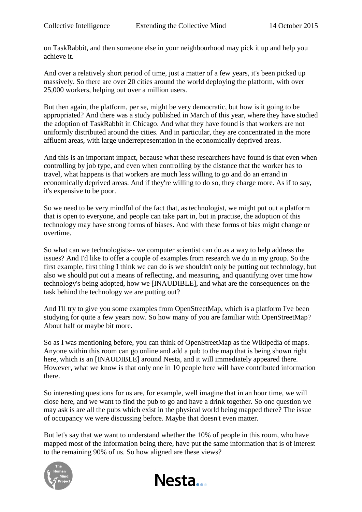on TaskRabbit, and then someone else in your neighbourhood may pick it up and help you achieve it.

And over a relatively short period of time, just a matter of a few years, it's been picked up massively. So there are over 20 cities around the world deploying the platform, with over 25,000 workers, helping out over a million users.

But then again, the platform, per se, might be very democratic, but how is it going to be appropriated? And there was a study published in March of this year, where they have studied the adoption of TaskRabbit in Chicago. And what they have found is that workers are not uniformly distributed around the cities. And in particular, they are concentrated in the more affluent areas, with large underrepresentation in the economically deprived areas.

And this is an important impact, because what these researchers have found is that even when controlling by job type, and even when controlling by the distance that the worker has to travel, what happens is that workers are much less willing to go and do an errand in economically deprived areas. And if they're willing to do so, they charge more. As if to say, it's expensive to be poor.

So we need to be very mindful of the fact that, as technologist, we might put out a platform that is open to everyone, and people can take part in, but in practise, the adoption of this technology may have strong forms of biases. And with these forms of bias might change or overtime.

So what can we technologists-- we computer scientist can do as a way to help address the issues? And I'd like to offer a couple of examples from research we do in my group. So the first example, first thing I think we can do is we shouldn't only be putting out technology, but also we should put out a means of reflecting, and measuring, and quantifying over time how technology's being adopted, how we [INAUDIBLE], and what are the consequences on the task behind the technology we are putting out?

And I'll try to give you some examples from OpenStreetMap, which is a platform I've been studying for quite a few years now. So how many of you are familiar with OpenStreetMap? About half or maybe bit more.

So as I was mentioning before, you can think of OpenStreetMap as the Wikipedia of maps. Anyone within this room can go online and add a pub to the map that is being shown right here, which is an [INAUDIBLE] around Nesta, and it will immediately appeared there. However, what we know is that only one in 10 people here will have contributed information there.

So interesting questions for us are, for example, well imagine that in an hour time, we will close here, and we want to find the pub to go and have a drink together. So one question we may ask is are all the pubs which exist in the physical world being mapped there? The issue of occupancy we were discussing before. Maybe that doesn't even matter.

But let's say that we want to understand whether the 10% of people in this room, who have mapped most of the information being there, have put the same information that is of interest to the remaining 90% of us. So how aligned are these views?



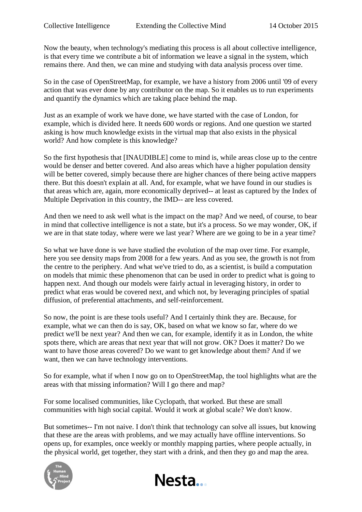Now the beauty, when technology's mediating this process is all about collective intelligence, is that every time we contribute a bit of information we leave a signal in the system, which remains there. And then, we can mine and studying with data analysis process over time.

So in the case of OpenStreetMap, for example, we have a history from 2006 until '09 of every action that was ever done by any contributor on the map. So it enables us to run experiments and quantify the dynamics which are taking place behind the map.

Just as an example of work we have done, we have started with the case of London, for example, which is divided here. It needs 600 words or regions. And one question we started asking is how much knowledge exists in the virtual map that also exists in the physical world? And how complete is this knowledge?

So the first hypothesis that [INAUDIBLE] come to mind is, while areas close up to the centre would be denser and better covered. And also areas which have a higher population density will be better covered, simply because there are higher chances of there being active mappers there. But this doesn't explain at all. And, for example, what we have found in our studies is that areas which are, again, more economically deprived-- at least as captured by the Index of Multiple Deprivation in this country, the IMD-- are less covered.

And then we need to ask well what is the impact on the map? And we need, of course, to bear in mind that collective intelligence is not a state, but it's a process. So we may wonder, OK, if we are in that state today, where were we last year? Where are we going to be in a year time?

So what we have done is we have studied the evolution of the map over time. For example, here you see density maps from 2008 for a few years. And as you see, the growth is not from the centre to the periphery. And what we've tried to do, as a scientist, is build a computation on models that mimic these phenomenon that can be used in order to predict what is going to happen next. And though our models were fairly actual in leveraging history, in order to predict what eras would be covered next, and which not, by leveraging principles of spatial diffusion, of preferential attachments, and self-reinforcement.

So now, the point is are these tools useful? And I certainly think they are. Because, for example, what we can then do is say, OK, based on what we know so far, where do we predict we'll be next year? And then we can, for example, identify it as in London, the white spots there, which are areas that next year that will not grow. OK? Does it matter? Do we want to have those areas covered? Do we want to get knowledge about them? And if we want, then we can have technology interventions.

So for example, what if when I now go on to OpenStreetMap, the tool highlights what are the areas with that missing information? Will I go there and map?

For some localised communities, like Cyclopath, that worked. But these are small communities with high social capital. Would it work at global scale? We don't know.

But sometimes-- I'm not naive. I don't think that technology can solve all issues, but knowing that these are the areas with problems, and we may actually have offline interventions. So opens up, for examples, once weekly or monthly mapping parties, where people actually, in the physical world, get together, they start with a drink, and then they go and map the area.



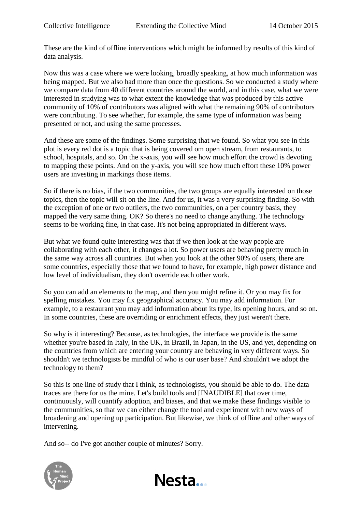These are the kind of offline interventions which might be informed by results of this kind of data analysis.

Now this was a case where we were looking, broadly speaking, at how much information was being mapped. But we also had more than once the questions. So we conducted a study where we compare data from 40 different countries around the world, and in this case, what we were interested in studying was to what extent the knowledge that was produced by this active community of 10% of contributors was aligned with what the remaining 90% of contributors were contributing. To see whether, for example, the same type of information was being presented or not, and using the same processes.

And these are some of the findings. Some surprising that we found. So what you see in this plot is every red dot is a topic that is being covered om open stream, from restaurants, to school, hospitals, and so. On the x-axis, you will see how much effort the crowd is devoting to mapping these points. And on the y-axis, you will see how much effort these 10% power users are investing in markings those items.

So if there is no bias, if the two communities, the two groups are equally interested on those topics, then the topic will sit on the line. And for us, it was a very surprising finding. So with the exception of one or two outliers, the two communities, on a per country basis, they mapped the very same thing. OK? So there's no need to change anything. The technology seems to be working fine, in that case. It's not being appropriated in different ways.

But what we found quite interesting was that if we then look at the way people are collaborating with each other, it changes a lot. So power users are behaving pretty much in the same way across all countries. But when you look at the other 90% of users, there are some countries, especially those that we found to have, for example, high power distance and low level of individualism, they don't override each other work.

So you can add an elements to the map, and then you might refine it. Or you may fix for spelling mistakes. You may fix geographical accuracy. You may add information. For example, to a restaurant you may add information about its type, its opening hours, and so on. In some countries, these are overriding or enrichment effects, they just weren't there.

So why is it interesting? Because, as technologies, the interface we provide is the same whether you're based in Italy, in the UK, in Brazil, in Japan, in the US, and yet, depending on the countries from which are entering your country are behaving in very different ways. So shouldn't we technologists be mindful of who is our user base? And shouldn't we adopt the technology to them?

So this is one line of study that I think, as technologists, you should be able to do. The data traces are there for us the mine. Let's build tools and [INAUDIBLE] that over time, continuously, will quantify adoption, and biases, and that we make these findings visible to the communities, so that we can either change the tool and experiment with new ways of broadening and opening up participation. But likewise, we think of offline and other ways of intervening.

And so-- do I've got another couple of minutes? Sorry.

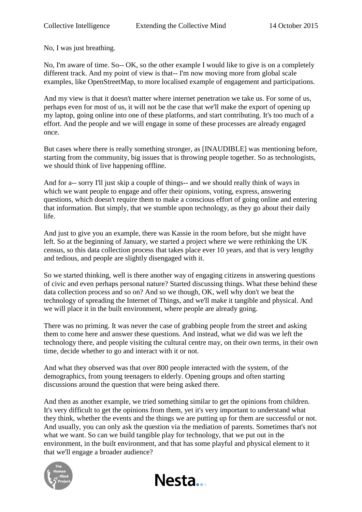No, I was just breathing.

No, I'm aware of time. So-- OK, so the other example I would like to give is on a completely different track. And my point of view is that-- I'm now moving more from global scale examples, like OpenStreetMap, to more localised example of engagement and participations.

And my view is that it doesn't matter where internet penetration we take us. For some of us, perhaps even for most of us, it will not be the case that we'll make the export of opening up my laptop, going online into one of these platforms, and start contributing. It's too much of a effort. And the people and we will engage in some of these processes are already engaged once.

But cases where there is really something stronger, as [INAUDIBLE] was mentioning before, starting from the community, big issues that is throwing people together. So as technologists, we should think of live happening offline.

And for a-- sorry I'll just skip a couple of things-- and we should really think of ways in which we want people to engage and offer their opinions, voting, express, answering questions, which doesn't require them to make a conscious effort of going online and entering that information. But simply, that we stumble upon technology, as they go about their daily life.

And just to give you an example, there was Kassie in the room before, but she might have left. So at the beginning of January, we started a project where we were rethinking the UK census, so this data collection process that takes place ever 10 years, and that is very lengthy and tedious, and people are slightly disengaged with it.

So we started thinking, well is there another way of engaging citizens in answering questions of civic and even perhaps personal nature? Started discussing things. What these behind these data collection process and so on? And so we though, OK, well why don't we beat the technology of spreading the Internet of Things, and we'll make it tangible and physical. And we will place it in the built environment, where people are already going.

There was no priming. It was never the case of grabbing people from the street and asking them to come here and answer these questions. And instead, what we did was we left the technology there, and people visiting the cultural centre may, on their own terms, in their own time, decide whether to go and interact with it or not.

And what they observed was that over 800 people interacted with the system, of the demographics, from young teenagers to elderly. Opening groups and often starting discussions around the question that were being asked there.

And then as another example, we tried something similar to get the opinions from children. It's very difficult to get the opinions from them, yet it's very important to understand what they think, whether the events and the things we are putting up for them are successful or not. And usually, you can only ask the question via the mediation of parents. Sometimes that's not what we want. So can we build tangible play for technology, that we put out in the environment, in the built environment, and that has some playful and physical element to it that we'll engage a broader audience?



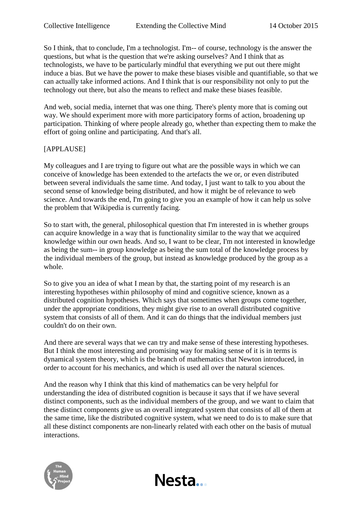So I think, that to conclude, I'm a technologist. I'm-- of course, technology is the answer the questions, but what is the question that we're asking ourselves? And I think that as technologists, we have to be particularly mindful that everything we put out there might induce a bias. But we have the power to make these biases visible and quantifiable, so that we can actually take informed actions. And I think that is our responsibility not only to put the technology out there, but also the means to reflect and make these biases feasible.

And web, social media, internet that was one thing. There's plenty more that is coming out way. We should experiment more with more participatory forms of action, broadening up participation. Thinking of where people already go, whether than expecting them to make the effort of going online and participating. And that's all.

## [APPLAUSE]

My colleagues and I are trying to figure out what are the possible ways in which we can conceive of knowledge has been extended to the artefacts the we or, or even distributed between several individuals the same time. And today, I just want to talk to you about the second sense of knowledge being distributed, and how it might be of relevance to web science. And towards the end, I'm going to give you an example of how it can help us solve the problem that Wikipedia is currently facing.

So to start with, the general, philosophical question that I'm interested in is whether groups can acquire knowledge in a way that is functionality similar to the way that we acquired knowledge within our own heads. And so, I want to be clear, I'm not interested in knowledge as being the sum-- in group knowledge as being the sum total of the knowledge process by the individual members of the group, but instead as knowledge produced by the group as a whole.

So to give you an idea of what I mean by that, the starting point of my research is an interesting hypotheses within philosophy of mind and cognitive science, known as a distributed cognition hypotheses. Which says that sometimes when groups come together, under the appropriate conditions, they might give rise to an overall distributed cognitive system that consists of all of them. And it can do things that the individual members just couldn't do on their own.

And there are several ways that we can try and make sense of these interesting hypotheses. But I think the most interesting and promising way for making sense of it is in terms is dynamical system theory, which is the branch of mathematics that Newton introduced, in order to account for his mechanics, and which is used all over the natural sciences.

And the reason why I think that this kind of mathematics can be very helpful for understanding the idea of distributed cognition is because it says that if we have several distinct components, such as the individual members of the group, and we want to claim that these distinct components give us an overall integrated system that consists of all of them at the same time, like the distributed cognitive system, what we need to do is to make sure that all these distinct components are non-linearly related with each other on the basis of mutual interactions.

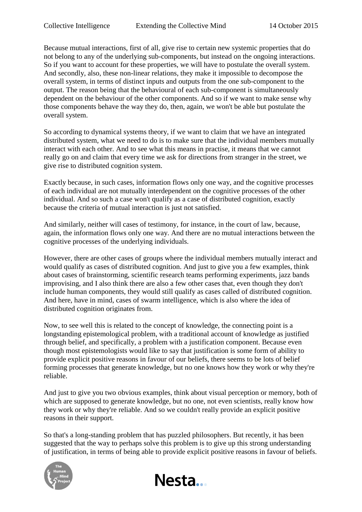Because mutual interactions, first of all, give rise to certain new systemic properties that do not belong to any of the underlying sub-components, but instead on the ongoing interactions. So if you want to account for these properties, we will have to postulate the overall system. And secondly, also, these non-linear relations, they make it impossible to decompose the overall system, in terms of distinct inputs and outputs from the one sub-component to the output. The reason being that the behavioural of each sub-component is simultaneously dependent on the behaviour of the other components. And so if we want to make sense why those components behave the way they do, then, again, we won't be able but postulate the overall system.

So according to dynamical systems theory, if we want to claim that we have an integrated distributed system, what we need to do is to make sure that the individual members mutually interact with each other. And to see what this means in practise, it means that we cannot really go on and claim that every time we ask for directions from stranger in the street, we give rise to distributed cognition system.

Exactly because, in such cases, information flows only one way, and the cognitive processes of each individual are not mutually interdependent on the cognitive processes of the other individual. And so such a case won't qualify as a case of distributed cognition, exactly because the criteria of mutual interaction is just not satisfied.

And similarly, neither will cases of testimony, for instance, in the court of law, because, again, the information flows only one way. And there are no mutual interactions between the cognitive processes of the underlying individuals.

However, there are other cases of groups where the individual members mutually interact and would qualify as cases of distributed cognition. And just to give you a few examples, think about cases of brainstorming, scientific research teams performing experiments, jazz bands improvising, and I also think there are also a few other cases that, even though they don't include human components, they would still qualify as cases called of distributed cognition. And here, have in mind, cases of swarm intelligence, which is also where the idea of distributed cognition originates from.

Now, to see well this is related to the concept of knowledge, the connecting point is a longstanding epistemological problem, with a traditional account of knowledge as justified through belief, and specifically, a problem with a justification component. Because even though most epistemologists would like to say that justification is some form of ability to provide explicit positive reasons in favour of our beliefs, there seems to be lots of belief forming processes that generate knowledge, but no one knows how they work or why they're reliable.

And just to give you two obvious examples, think about visual perception or memory, both of which are supposed to generate knowledge, but no one, not even scientists, really know how they work or why they're reliable. And so we couldn't really provide an explicit positive reasons in their support.

So that's a long-standing problem that has puzzled philosophers. But recently, it has been suggested that the way to perhaps solve this problem is to give up this strong understanding of justification, in terms of being able to provide explicit positive reasons in favour of beliefs.



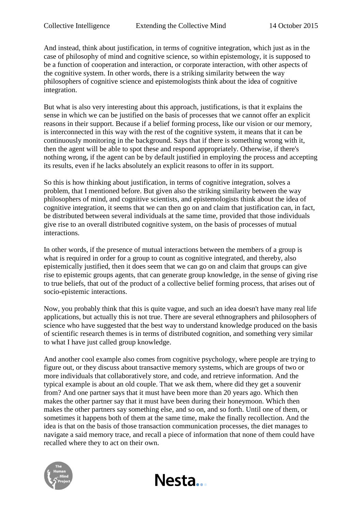And instead, think about justification, in terms of cognitive integration, which just as in the case of philosophy of mind and cognitive science, so within epistemology, it is supposed to be a function of cooperation and interaction, or corporate interaction, with other aspects of the cognitive system. In other words, there is a striking similarity between the way philosophers of cognitive science and epistemologists think about the idea of cognitive integration.

But what is also very interesting about this approach, justifications, is that it explains the sense in which we can be justified on the basis of processes that we cannot offer an explicit reasons in their support. Because if a belief forming process, like our vision or our memory, is interconnected in this way with the rest of the cognitive system, it means that it can be continuously monitoring in the background. Says that if there is something wrong with it, then the agent will be able to spot these and respond appropriately. Otherwise, if there's nothing wrong, if the agent can be by default justified in employing the process and accepting its results, even if he lacks absolutely an explicit reasons to offer in its support.

So this is how thinking about justification, in terms of cognitive integration, solves a problem, that I mentioned before. But given also the striking similarity between the way philosophers of mind, and cognitive scientists, and epistemologists think about the idea of cognitive integration, it seems that we can then go on and claim that justification can, in fact, be distributed between several individuals at the same time, provided that those individuals give rise to an overall distributed cognitive system, on the basis of processes of mutual interactions.

In other words, if the presence of mutual interactions between the members of a group is what is required in order for a group to count as cognitive integrated, and thereby, also epistemically justified, then it does seem that we can go on and claim that groups can give rise to epistemic groups agents, that can generate group knowledge, in the sense of giving rise to true beliefs, that out of the product of a collective belief forming process, that arises out of socio-epistemic interactions.

Now, you probably think that this is quite vague, and such an idea doesn't have many real life applications, but actually this is not true. There are several ethnographers and philosophers of science who have suggested that the best way to understand knowledge produced on the basis of scientific research themes is in terms of distributed cognition, and something very similar to what I have just called group knowledge.

And another cool example also comes from cognitive psychology, where people are trying to figure out, or they discuss about transactive memory systems, which are groups of two or more individuals that collaboratively store, and code, and retrieve information. And the typical example is about an old couple. That we ask them, where did they get a souvenir from? And one partner says that it must have been more than 20 years ago. Which then makes the other partner say that it must have been during their honeymoon. Which then makes the other partners say something else, and so on, and so forth. Until one of them, or sometimes it happens both of them at the same time, make the finally recollection. And the idea is that on the basis of those transaction communication processes, the diet manages to navigate a said memory trace, and recall a piece of information that none of them could have recalled where they to act on their own.

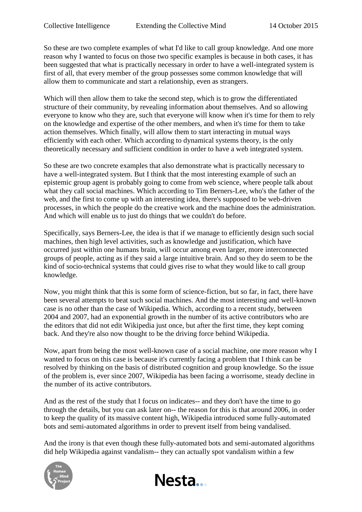So these are two complete examples of what I'd like to call group knowledge. And one more reason why I wanted to focus on those two specific examples is because in both cases, it has been suggested that what is practically necessary in order to have a well-integrated system is first of all, that every member of the group possesses some common knowledge that will allow them to communicate and start a relationship, even as strangers.

Which will then allow them to take the second step, which is to grow the differentiated structure of their community, by revealing information about themselves. And so allowing everyone to know who they are, such that everyone will know when it's time for them to rely on the knowledge and expertise of the other members, and when it's time for them to take action themselves. Which finally, will allow them to start interacting in mutual ways efficiently with each other. Which according to dynamical systems theory, is the only theoretically necessary and sufficient condition in order to have a web integrated system.

So these are two concrete examples that also demonstrate what is practically necessary to have a well-integrated system. But I think that the most interesting example of such an epistemic group agent is probably going to come from web science, where people talk about what they call social machines. Which according to Tim Berners-Lee, who's the father of the web, and the first to come up with an interesting idea, there's supposed to be web-driven processes, in which the people do the creative work and the machine does the administration. And which will enable us to just do things that we couldn't do before.

Specifically, says Berners-Lee, the idea is that if we manage to efficiently design such social machines, then high level activities, such as knowledge and justification, which have occurred just within one humans brain, will occur among even larger, more interconnected groups of people, acting as if they said a large intuitive brain. And so they do seem to be the kind of socio-technical systems that could gives rise to what they would like to call group knowledge.

Now, you might think that this is some form of science-fiction, but so far, in fact, there have been several attempts to beat such social machines. And the most interesting and well-known case is no other than the case of Wikipedia. Which, according to a recent study, between 2004 and 2007, had an exponential growth in the number of its active contributors who are the editors that did not edit Wikipedia just once, but after the first time, they kept coming back. And they're also now thought to be the driving force behind Wikipedia.

Now, apart from being the most well-known case of a social machine, one more reason why I wanted to focus on this case is because it's currently facing a problem that I think can be resolved by thinking on the basis of distributed cognition and group knowledge. So the issue of the problem is, ever since 2007, Wikipedia has been facing a worrisome, steady decline in the number of its active contributors.

And as the rest of the study that I focus on indicates-- and they don't have the time to go through the details, but you can ask later on-- the reason for this is that around 2006, in order to keep the quality of its massive content high, Wikipedia introduced some fully-automated bots and semi-automated algorithms in order to prevent itself from being vandalised.

And the irony is that even though these fully-automated bots and semi-automated algorithms did help Wikipedia against vandalism-- they can actually spot vandalism within a few



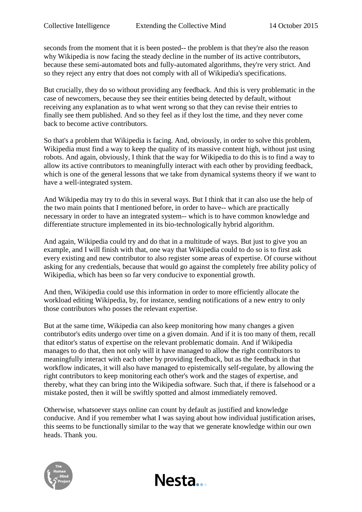seconds from the moment that it is been posted-- the problem is that they're also the reason why Wikipedia is now facing the steady decline in the number of its active contributors, because these semi-automated bots and fully-automated algorithms, they're very strict. And so they reject any entry that does not comply with all of Wikipedia's specifications.

But crucially, they do so without providing any feedback. And this is very problematic in the case of newcomers, because they see their entities being detected by default, without receiving any explanation as to what went wrong so that they can revise their entries to finally see them published. And so they feel as if they lost the time, and they never come back to become active contributors.

So that's a problem that Wikipedia is facing. And, obviously, in order to solve this problem, Wikipedia must find a way to keep the quality of its massive content high, without just using robots. And again, obviously, I think that the way for Wikipedia to do this is to find a way to allow its active contributors to meaningfully interact with each other by providing feedback, which is one of the general lessons that we take from dynamical systems theory if we want to have a well-integrated system.

And Wikipedia may try to do this in several ways. But I think that it can also use the help of the two main points that I mentioned before, in order to have-- which are practically necessary in order to have an integrated system-- which is to have common knowledge and differentiate structure implemented in its bio-technologically hybrid algorithm.

And again, Wikipedia could try and do that in a multitude of ways. But just to give you an example, and I will finish with that, one way that Wikipedia could to do so is to first ask every existing and new contributor to also register some areas of expertise. Of course without asking for any credentials, because that would go against the completely free ability policy of Wikipedia, which has been so far very conducive to exponential growth.

And then, Wikipedia could use this information in order to more efficiently allocate the workload editing Wikipedia, by, for instance, sending notifications of a new entry to only those contributors who posses the relevant expertise.

But at the same time, Wikipedia can also keep monitoring how many changes a given contributor's edits undergo over time on a given domain. And if it is too many of them, recall that editor's status of expertise on the relevant problematic domain. And if Wikipedia manages to do that, then not only will it have managed to allow the right contributors to meaningfully interact with each other by providing feedback, but as the feedback in that workflow indicates, it will also have managed to epistemically self-regulate, by allowing the right contributors to keep monitoring each other's work and the stages of expertise, and thereby, what they can bring into the Wikipedia software. Such that, if there is falsehood or a mistake posted, then it will be swiftly spotted and almost immediately removed.

Otherwise, whatsoever stays online can count by default as justified and knowledge conducive. And if you remember what I was saying about how individual justification arises, this seems to be functionally similar to the way that we generate knowledge within our own heads. Thank you.

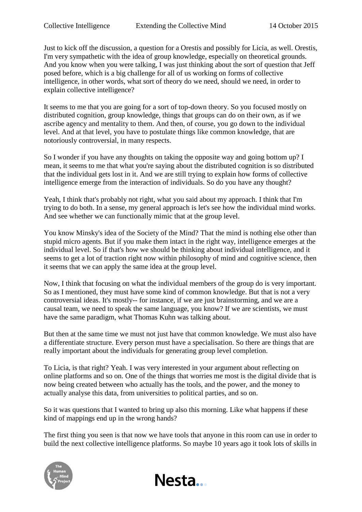Just to kick off the discussion, a question for a Orestis and possibly for Licia, as well. Orestis, I'm very sympathetic with the idea of group knowledge, especially on theoretical grounds. And you know when you were talking, I was just thinking about the sort of question that Jeff posed before, which is a big challenge for all of us working on forms of collective intelligence, in other words, what sort of theory do we need, should we need, in order to explain collective intelligence?

It seems to me that you are going for a sort of top-down theory. So you focused mostly on distributed cognition, group knowledge, things that groups can do on their own, as if we ascribe agency and mentality to them. And then, of course, you go down to the individual level. And at that level, you have to postulate things like common knowledge, that are notoriously controversial, in many respects.

So I wonder if you have any thoughts on taking the opposite way and going bottom up? I mean, it seems to me that what you're saying about the distributed cognition is so distributed that the individual gets lost in it. And we are still trying to explain how forms of collective intelligence emerge from the interaction of individuals. So do you have any thought?

Yeah, I think that's probably not right, what you said about my approach. I think that I'm trying to do both. In a sense, my general approach is let's see how the individual mind works. And see whether we can functionally mimic that at the group level.

You know Minsky's idea of the Society of the Mind? That the mind is nothing else other than stupid micro agents. But if you make them intact in the right way, intelligence emerges at the individual level. So if that's how we should be thinking about individual intelligence, and it seems to get a lot of traction right now within philosophy of mind and cognitive science, then it seems that we can apply the same idea at the group level.

Now, I think that focusing on what the individual members of the group do is very important. So as I mentioned, they must have some kind of common knowledge. But that is not a very controversial ideas. It's mostly-- for instance, if we are just brainstorming, and we are a causal team, we need to speak the same language, you know? If we are scientists, we must have the same paradigm, what Thomas Kuhn was talking about.

But then at the same time we must not just have that common knowledge. We must also have a differentiate structure. Every person must have a specialisation. So there are things that are really important about the individuals for generating group level completion.

To Licia, is that right? Yeah. I was very interested in your argument about reflecting on online platforms and so on. One of the things that worries me most is the digital divide that is now being created between who actually has the tools, and the power, and the money to actually analyse this data, from universities to political parties, and so on.

So it was questions that I wanted to bring up also this morning. Like what happens if these kind of mappings end up in the wrong hands?

The first thing you seen is that now we have tools that anyone in this room can use in order to build the next collective intelligence platforms. So maybe 10 years ago it took lots of skills in

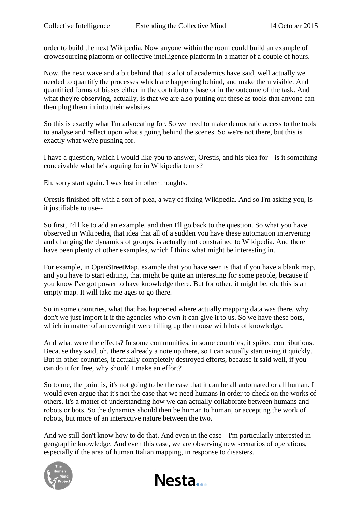order to build the next Wikipedia. Now anyone within the room could build an example of crowdsourcing platform or collective intelligence platform in a matter of a couple of hours.

Now, the next wave and a bit behind that is a lot of academics have said, well actually we needed to quantify the processes which are happening behind, and make them visible. And quantified forms of biases either in the contributors base or in the outcome of the task. And what they're observing, actually, is that we are also putting out these as tools that anyone can then plug them in into their websites.

So this is exactly what I'm advocating for. So we need to make democratic access to the tools to analyse and reflect upon what's going behind the scenes. So we're not there, but this is exactly what we're pushing for.

I have a question, which I would like you to answer, Orestis, and his plea for-- is it something conceivable what he's arguing for in Wikipedia terms?

Eh, sorry start again. I was lost in other thoughts.

Orestis finished off with a sort of plea, a way of fixing Wikipedia. And so I'm asking you, is it justifiable to use--

So first, I'd like to add an example, and then I'll go back to the question. So what you have observed in Wikipedia, that idea that all of a sudden you have these automation intervening and changing the dynamics of groups, is actually not constrained to Wikipedia. And there have been plenty of other examples, which I think what might be interesting in.

For example, in OpenStreetMap, example that you have seen is that if you have a blank map, and you have to start editing, that might be quite an interesting for some people, because if you know I've got power to have knowledge there. But for other, it might be, oh, this is an empty map. It will take me ages to go there.

So in some countries, what that has happened where actually mapping data was there, why don't we just import it if the agencies who own it can give it to us. So we have these bots, which in matter of an overnight were filling up the mouse with lots of knowledge.

And what were the effects? In some communities, in some countries, it spiked contributions. Because they said, oh, there's already a note up there, so I can actually start using it quickly. But in other countries, it actually completely destroyed efforts, because it said well, if you can do it for free, why should I make an effort?

So to me, the point is, it's not going to be the case that it can be all automated or all human. I would even argue that it's not the case that we need humans in order to check on the works of others. It's a matter of understanding how we can actually collaborate between humans and robots or bots. So the dynamics should then be human to human, or accepting the work of robots, but more of an interactive nature between the two.

And we still don't know how to do that. And even in the case-- I'm particularly interested in geographic knowledge. And even this case, we are observing new scenarios of operations, especially if the area of human Italian mapping, in response to disasters.



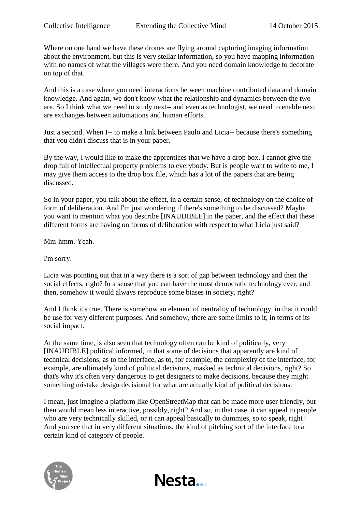Where on one hand we have these drones are flying around capturing imaging information about the environment, but this is very stellar information, so you have mapping information with no names of what the villages were there. And you need domain knowledge to decorate on top of that.

And this is a case where you need interactions between machine contributed data and domain knowledge. And again, we don't know what the relationship and dynamics between the two are. So I think what we need to study next-- and even as technologist, we need to enable next are exchanges between automations and human efforts.

Just a second. When I-- to make a link between Paulo and Licia-- because there's something that you didn't discuss that is in your paper.

By the way, I would like to make the apprentices that we have a drop box. I cannot give the drop full of intellectual property problems to everybody. But is people want to write to me, I may give them access to the drop box file, which has a lot of the papers that are being discussed.

So in your paper, you talk about the effect, in a certain sense, of technology on the choice of form of deliberation. And I'm just wondering if there's something to be discussed? Maybe you want to mention what you describe [INAUDIBLE] in the paper, and the effect that these different forms are having on forms of deliberation with respect to what Licia just said?

Mm-hmm. Yeah.

I'm sorry.

Licia was pointing out that in a way there is a sort of gap between technology and then the social effects, right? In a sense that you can have the most democratic technology ever, and then, somehow it would always reproduce some biases in society, right?

And I think it's true. There is somehow an element of neutrality of technology, in that it could be use for very different purposes. And somehow, there are some limits to it, in terms of its social impact.

At the same time, is also seen that technology often can be kind of politically, very [INAUDIBLE] political informed, in that some of decisions that apparently are kind of technical decisions, as to the interface, as to, for example, the complexity of the interface, for example, are ultimately kind of political decisions, masked as technical decisions, right? So that's why it's often very dangerous to get designers to make decisions, because they might something mistake design decisional for what are actually kind of political decisions.

I mean, just imagine a platform like OpenStreetMap that can be made more user friendly, but then would mean less interactive, possibly, right? And so, in that case, it can appeal to people who are very technically skilled, or it can appeal basically to dummies, so to speak, right? And you see that in very different situations, the kind of pitching sort of the interface to a certain kind of category of people.

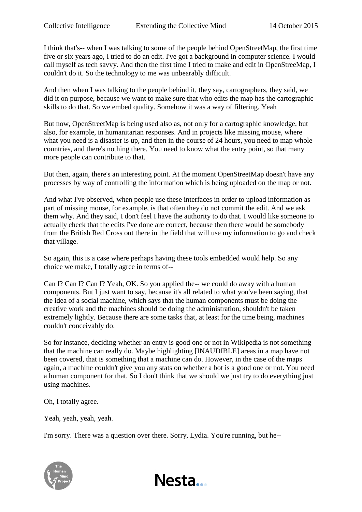I think that's-- when I was talking to some of the people behind OpenStreetMap, the first time five or six years ago, I tried to do an edit. I've got a background in computer science. I would call myself as tech savvy. And then the first time I tried to make and edit in OpenStreeMap, I couldn't do it. So the technology to me was unbearably difficult.

And then when I was talking to the people behind it, they say, cartographers, they said, we did it on purpose, because we want to make sure that who edits the map has the cartographic skills to do that. So we embed quality. Somehow it was a way of filtering. Yeah

But now, OpenStreetMap is being used also as, not only for a cartographic knowledge, but also, for example, in humanitarian responses. And in projects like missing mouse, where what you need is a disaster is up, and then in the course of 24 hours, you need to map whole countries, and there's nothing there. You need to know what the entry point, so that many more people can contribute to that.

But then, again, there's an interesting point. At the moment OpenStreetMap doesn't have any processes by way of controlling the information which is being uploaded on the map or not.

And what I've observed, when people use these interfaces in order to upload information as part of missing mouse, for example, is that often they do not commit the edit. And we ask them why. And they said, I don't feel I have the authority to do that. I would like someone to actually check that the edits I've done are correct, because then there would be somebody from the British Red Cross out there in the field that will use my information to go and check that village.

So again, this is a case where perhaps having these tools embedded would help. So any choice we make, I totally agree in terms of--

Can I? Can I? Can I? Yeah, OK. So you applied the-- we could do away with a human components. But I just want to say, because it's all related to what you've been saying, that the idea of a social machine, which says that the human components must be doing the creative work and the machines should be doing the administration, shouldn't be taken extremely lightly. Because there are some tasks that, at least for the time being, machines couldn't conceivably do.

So for instance, deciding whether an entry is good one or not in Wikipedia is not something that the machine can really do. Maybe highlighting [INAUDIBLE] areas in a map have not been covered, that is something that a machine can do. However, in the case of the maps again, a machine couldn't give you any stats on whether a bot is a good one or not. You need a human component for that. So I don't think that we should we just try to do everything just using machines.

Oh, I totally agree.

Yeah, yeah, yeah, yeah.

I'm sorry. There was a question over there. Sorry, Lydia. You're running, but he--